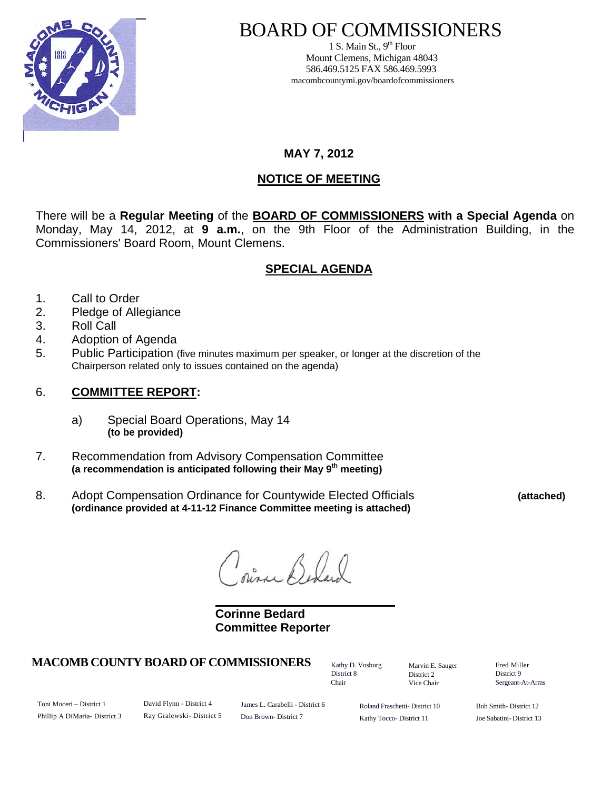

# BOARD OF COMMISSIONERS

1 S. Main St.,  $9<sup>th</sup>$  Floor Mount Clemens, Michigan 48043 586.469.5125 FAX 586.469.5993 macombcountymi.gov/boardofcommissioners

**MAY 7, 2012** 

# **NOTICE OF MEETING**

There will be a **Regular Meeting** of the **BOARD OF COMMISSIONERS with a Special Agenda** on Monday, May 14, 2012, at **9 a.m.**, on the 9th Floor of the Administration Building, in the Commissioners' Board Room, Mount Clemens.

# **SPECIAL AGENDA**

- 1. Call to Order
- 2. Pledge of Allegiance
- 3. Roll Call
- 4. Adoption of Agenda
- 5. Public Participation (five minutes maximum per speaker, or longer at the discretion of the Chairperson related only to issues contained on the agenda)

### 6. **COMMITTEE REPORT:**

- a) Special Board Operations, May 14 **(to be provided)**
- 7. Recommendation from Advisory Compensation Committee **(a recommendation is anticipated following their May 9th meeting)**
- 8. Adopt Compensation Ordinance for Countywide Elected Officials **(attached) (ordinance provided at 4-11-12 Finance Committee meeting is attached)**

ourne Bed

 **Corinne Bedard Committee Reporter** 

## **MACOMB COUNTY BOARD OF COMMISSIONERS** Factor D. Vosburg Marvin F. Sauger Fred Miller

Kathy D. Vosburg District 8 Chair

Marvin E. Sauger District 2 Vice Chair

District 9 Sergeant-At-Arms

Toni Moceri – District 1 Phillip A DiMaria- District 3 David Flynn - District 4 Ray Gralewski- District 5

James L. Carabelli - District 6 Don Brown- District 7

Roland Fraschetti- District 10 Kathy Tocco- District 11

Bob Smith- District 12 Joe Sabatini- District 13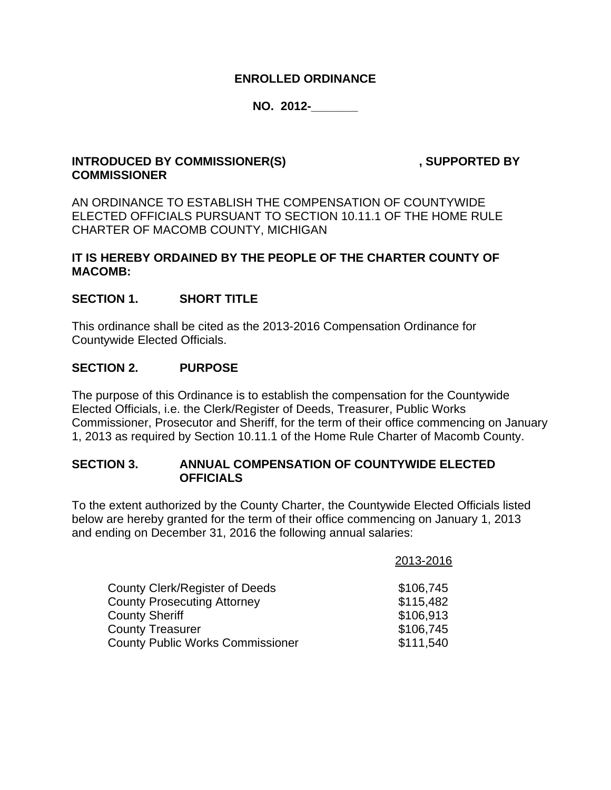#### **ENROLLED ORDINANCE**

#### **NO. 2012-\_\_\_\_\_\_\_**

#### **INTRODUCED BY COMMISSIONER(S)** , SUPPORTED BY **COMMISSIONER**

AN ORDINANCE TO ESTABLISH THE COMPENSATION OF COUNTYWIDE ELECTED OFFICIALS PURSUANT TO SECTION 10.11.1 OF THE HOME RULE CHARTER OF MACOMB COUNTY, MICHIGAN

#### **IT IS HEREBY ORDAINED BY THE PEOPLE OF THE CHARTER COUNTY OF MACOMB:**

#### **SECTION 1. SHORT TITLE**

This ordinance shall be cited as the 2013-2016 Compensation Ordinance for Countywide Elected Officials.

#### **SECTION 2. PURPOSE**

The purpose of this Ordinance is to establish the compensation for the Countywide Elected Officials, i.e. the Clerk/Register of Deeds, Treasurer, Public Works Commissioner, Prosecutor and Sheriff, for the term of their office commencing on January 1, 2013 as required by Section 10.11.1 of the Home Rule Charter of Macomb County.

#### **SECTION 3. ANNUAL COMPENSATION OF COUNTYWIDE ELECTED OFFICIALS**

To the extent authorized by the County Charter, the Countywide Elected Officials listed below are hereby granted for the term of their office commencing on January 1, 2013 and ending on December 31, 2016 the following annual salaries:

| 2013-2016 |
|-----------|
| \$106,745 |
| \$115,482 |
| \$106,913 |
| \$106,745 |
| \$111,540 |
|           |